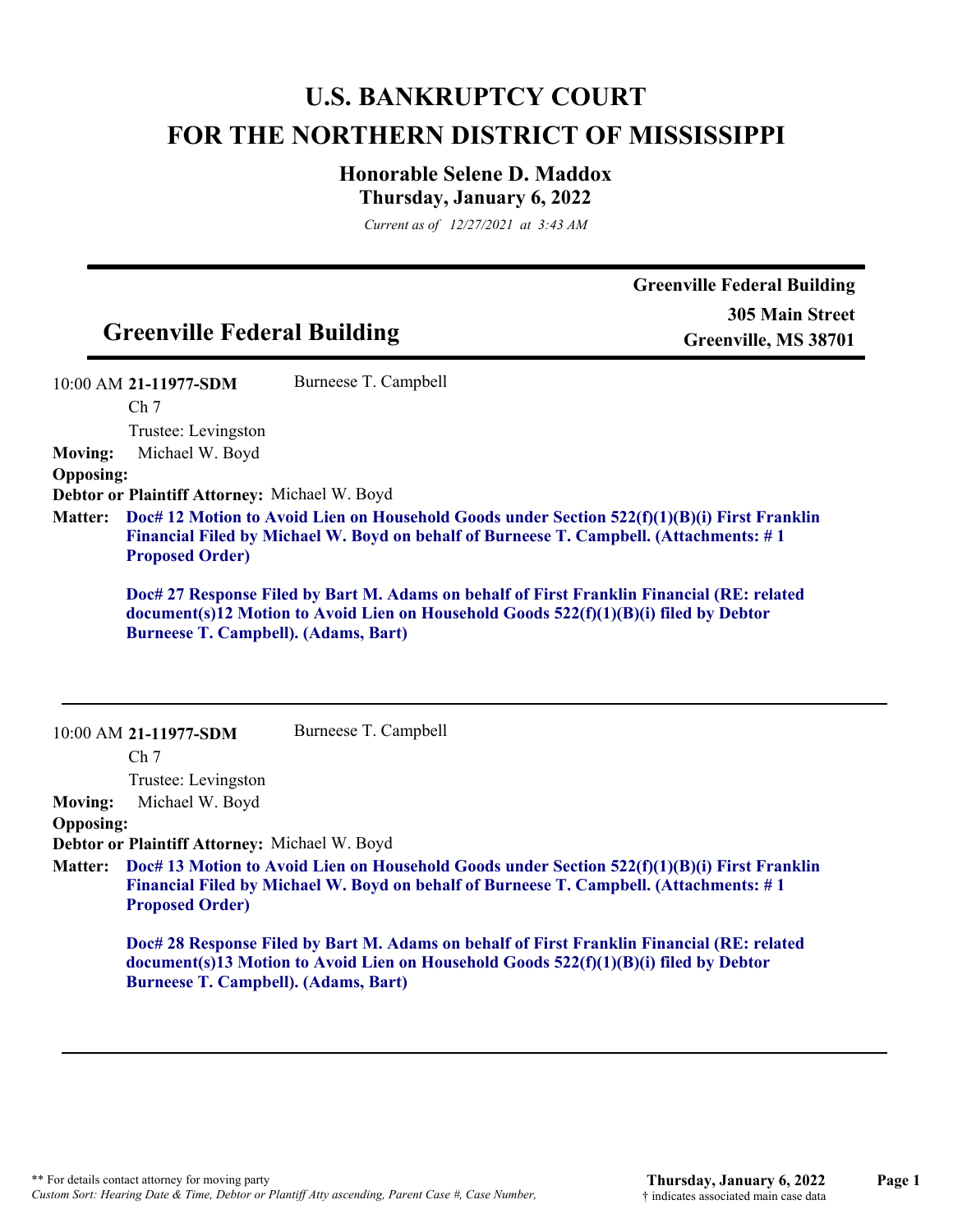# **U.S. BANKRUPTCY COURT FOR THE NORTHERN DISTRICT OF MISSISSIPPI**

## **Honorable Selene D. Maddox Thursday, January 6, 2022**

*Current as of 12/27/2021 at 3:43 AM*

| 10:00 AM 21-11977-SDM<br>Ch <sub>7</sub><br>Trustee: Levingston<br>Michael W. Boyd<br>Debtor or Plaintiff Attorney: Michael W. Boyd<br><b>Proposed Order)</b> | Burneese T. Campbell                                      | Doc# 12 Motion to Avoid Lien on Household Goods under Section 522(f)(1)(B)(i) First Franklin<br>Financial Filed by Michael W. Boyd on behalf of Burneese T. Campbell. (Attachments: #1                                                                                                                                                                                                                                                                                                                                                               |
|---------------------------------------------------------------------------------------------------------------------------------------------------------------|-----------------------------------------------------------|------------------------------------------------------------------------------------------------------------------------------------------------------------------------------------------------------------------------------------------------------------------------------------------------------------------------------------------------------------------------------------------------------------------------------------------------------------------------------------------------------------------------------------------------------|
|                                                                                                                                                               |                                                           |                                                                                                                                                                                                                                                                                                                                                                                                                                                                                                                                                      |
|                                                                                                                                                               |                                                           |                                                                                                                                                                                                                                                                                                                                                                                                                                                                                                                                                      |
|                                                                                                                                                               |                                                           |                                                                                                                                                                                                                                                                                                                                                                                                                                                                                                                                                      |
|                                                                                                                                                               |                                                           | Doc# 27 Response Filed by Bart M. Adams on behalf of First Franklin Financial (RE: related<br>document(s)12 Motion to Avoid Lien on Household Goods 522(f)(1)(B)(i) filed by Debtor                                                                                                                                                                                                                                                                                                                                                                  |
| 10:00 AM 21-11977-SDM                                                                                                                                         |                                                           |                                                                                                                                                                                                                                                                                                                                                                                                                                                                                                                                                      |
|                                                                                                                                                               |                                                           |                                                                                                                                                                                                                                                                                                                                                                                                                                                                                                                                                      |
|                                                                                                                                                               |                                                           |                                                                                                                                                                                                                                                                                                                                                                                                                                                                                                                                                      |
|                                                                                                                                                               |                                                           |                                                                                                                                                                                                                                                                                                                                                                                                                                                                                                                                                      |
|                                                                                                                                                               |                                                           |                                                                                                                                                                                                                                                                                                                                                                                                                                                                                                                                                      |
| <b>Proposed Order)</b>                                                                                                                                        |                                                           |                                                                                                                                                                                                                                                                                                                                                                                                                                                                                                                                                      |
|                                                                                                                                                               |                                                           |                                                                                                                                                                                                                                                                                                                                                                                                                                                                                                                                                      |
|                                                                                                                                                               | Ch <sub>7</sub><br>Trustee: Levingston<br>Michael W. Boyd | <b>Burneese T. Campbell). (Adams, Bart)</b><br>Burneese T. Campbell<br>Debtor or Plaintiff Attorney: Michael W. Boyd<br>Doc# 13 Motion to Avoid Lien on Household Goods under Section 522(f)(1)(B)(i) First Franklin<br>Financial Filed by Michael W. Boyd on behalf of Burneese T. Campbell. (Attachments: #1<br>Doc# 28 Response Filed by Bart M. Adams on behalf of First Franklin Financial (RE: related<br>document(s)13 Motion to Avoid Lien on Household Goods 522(f)(1)(B)(i) filed by Debtor<br><b>Burneese T. Campbell). (Adams, Bart)</b> |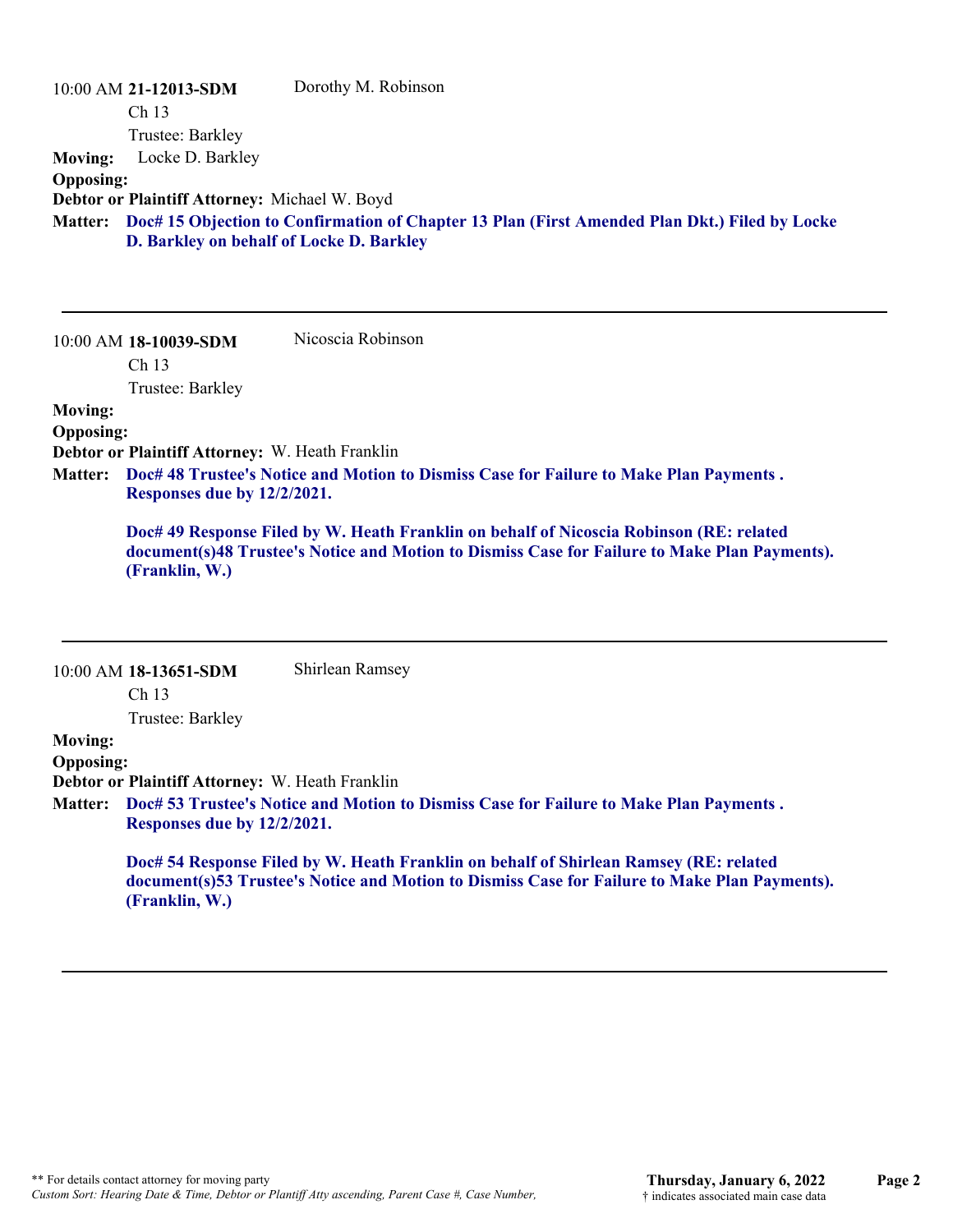| <b>Moving:</b><br><b>Opposing:</b>                                                                                                                                                                                                                                                                                          | 10:00 AM 21-12013-SDM<br>Ch <sub>13</sub><br>Trustee: Barkley<br>Locke D. Barkley<br>Debtor or Plaintiff Attorney: Michael W. Boyd | Dorothy M. Robinson                                                                                   |  |
|-----------------------------------------------------------------------------------------------------------------------------------------------------------------------------------------------------------------------------------------------------------------------------------------------------------------------------|------------------------------------------------------------------------------------------------------------------------------------|-------------------------------------------------------------------------------------------------------|--|
|                                                                                                                                                                                                                                                                                                                             | D. Barkley on behalf of Locke D. Barkley                                                                                           | Matter: Doc# 15 Objection to Confirmation of Chapter 13 Plan (First Amended Plan Dkt.) Filed by Locke |  |
|                                                                                                                                                                                                                                                                                                                             | 10:00 AM 18-10039-SDM<br>Ch <sub>13</sub><br>Trustee: Barkley                                                                      | Nicoscia Robinson                                                                                     |  |
| <b>Moving:</b><br><b>Opposing:</b><br>Debtor or Plaintiff Attorney: W. Heath Franklin<br>Doc# 48 Trustee's Notice and Motion to Dismiss Case for Failure to Make Plan Payments.<br><b>Matter:</b><br>Responses due by 12/2/2021.<br>Doc# 49 Response Filed by W. Heath Franklin on behalf of Nicoscia Robinson (RE: related |                                                                                                                                    |                                                                                                       |  |
|                                                                                                                                                                                                                                                                                                                             | (Franklin, W.)                                                                                                                     | document(s)48 Trustee's Notice and Motion to Dismiss Case for Failure to Make Plan Payments).         |  |

|                  | $10:00$ AM 18-13651-SDM                                                                                                       | Shirlean Ramsey                                                                                                                                                                        |  |
|------------------|-------------------------------------------------------------------------------------------------------------------------------|----------------------------------------------------------------------------------------------------------------------------------------------------------------------------------------|--|
|                  | Ch <sub>13</sub>                                                                                                              |                                                                                                                                                                                        |  |
|                  | Trustee: Barkley                                                                                                              |                                                                                                                                                                                        |  |
| <b>Moving:</b>   |                                                                                                                               |                                                                                                                                                                                        |  |
| <b>Opposing:</b> |                                                                                                                               |                                                                                                                                                                                        |  |
|                  | <b>Debtor or Plaintiff Attorney: W. Heath Franklin</b>                                                                        |                                                                                                                                                                                        |  |
|                  | Matter: Doc# 53 Trustee's Notice and Motion to Dismiss Case for Failure to Make Plan Payments.<br>Responses due by 12/2/2021. |                                                                                                                                                                                        |  |
|                  | (Franklin, W.)                                                                                                                | Doc# 54 Response Filed by W. Heath Franklin on behalf of Shirlean Ramsey (RE: related<br>document(s)53 Trustee's Notice and Motion to Dismiss Case for Failure to Make Plan Payments). |  |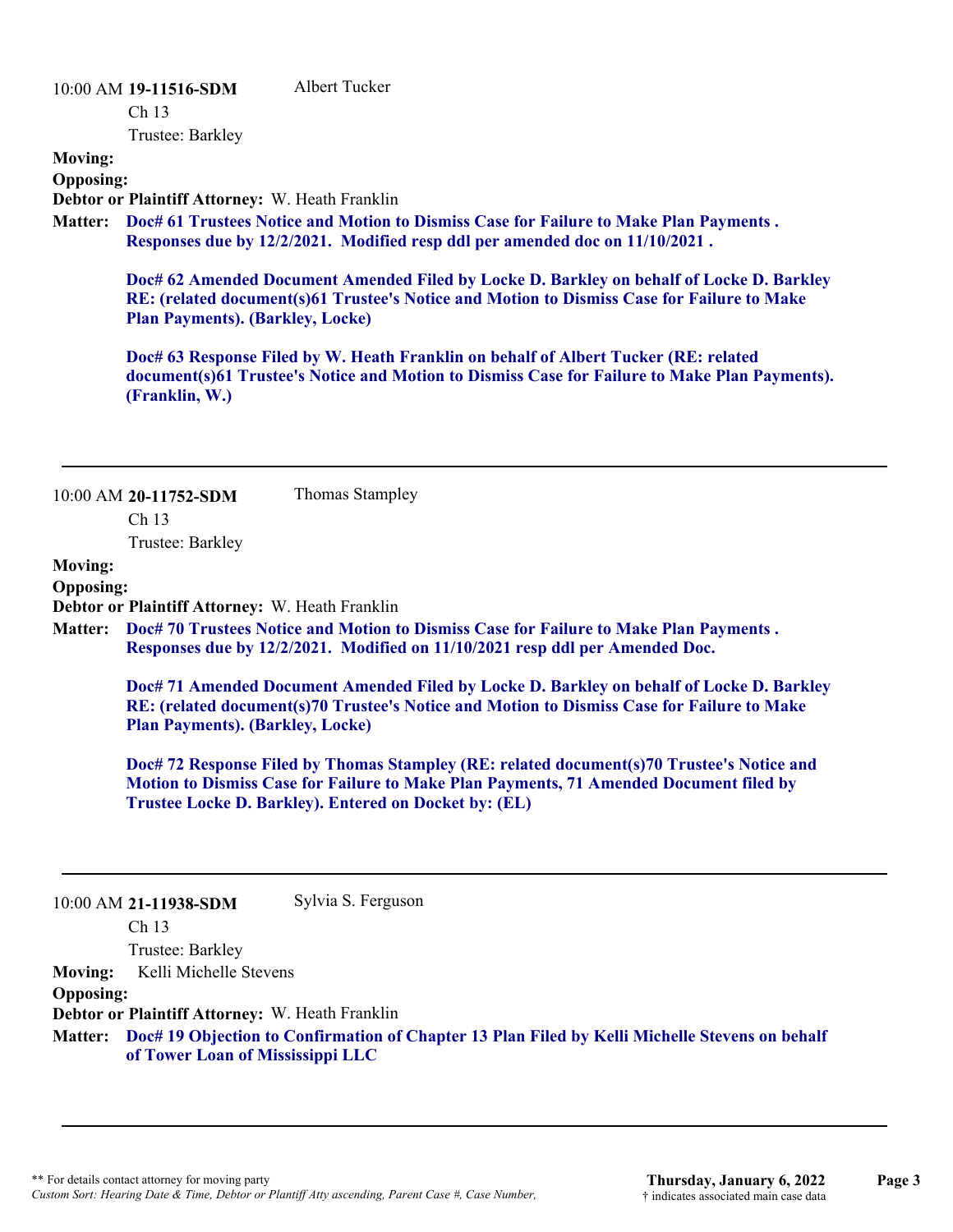#### 10:00 AM **19-11516-SDM**

Albert Tucker

Ch 13

Trustee: Barkley

**Moving:**

**Opposing:**

**Debtor or Plaintiff Attorney:** W. Heath Franklin

**Doc# 61 Trustees Notice and Motion to Dismiss Case for Failure to Make Plan Payments . Matter: Responses due by 12/2/2021. Modified resp ddl per amended doc on 11/10/2021 .**

**Doc# 62 Amended Document Amended Filed by Locke D. Barkley on behalf of Locke D. Barkley RE: (related document(s)61 Trustee's Notice and Motion to Dismiss Case for Failure to Make Plan Payments). (Barkley, Locke)**

**Doc# 63 Response Filed by W. Heath Franklin on behalf of Albert Tucker (RE: related document(s)61 Trustee's Notice and Motion to Dismiss Case for Failure to Make Plan Payments). (Franklin, W.)**

10:00 AM **20-11752-SDM** 

Thomas Stampley

Ch 13

Trustee: Barkley

## **Moving:**

**Opposing:**

**Debtor or Plaintiff Attorney:** W. Heath Franklin

**Doc# 70 Trustees Notice and Motion to Dismiss Case for Failure to Make Plan Payments . Matter: Responses due by 12/2/2021. Modified on 11/10/2021 resp ddl per Amended Doc.**

**Doc# 71 Amended Document Amended Filed by Locke D. Barkley on behalf of Locke D. Barkley RE: (related document(s)70 Trustee's Notice and Motion to Dismiss Case for Failure to Make Plan Payments). (Barkley, Locke)**

**Doc# 72 Response Filed by Thomas Stampley (RE: related document(s)70 Trustee's Notice and Motion to Dismiss Case for Failure to Make Plan Payments, 71 Amended Document filed by Trustee Locke D. Barkley). Entered on Docket by: (EL)**

| 10:00 AM 21-11938-SDM | Sylvia S. Ferguson |
|-----------------------|--------------------|
|-----------------------|--------------------|

Ch 13

Trustee: Barkley

**Moving:** Kelli Michelle Stevens

#### **Opposing:**

**Debtor or Plaintiff Attorney:** W. Heath Franklin

**Doc# 19 Objection to Confirmation of Chapter 13 Plan Filed by Kelli Michelle Stevens on behalf Matter: of Tower Loan of Mississippi LLC**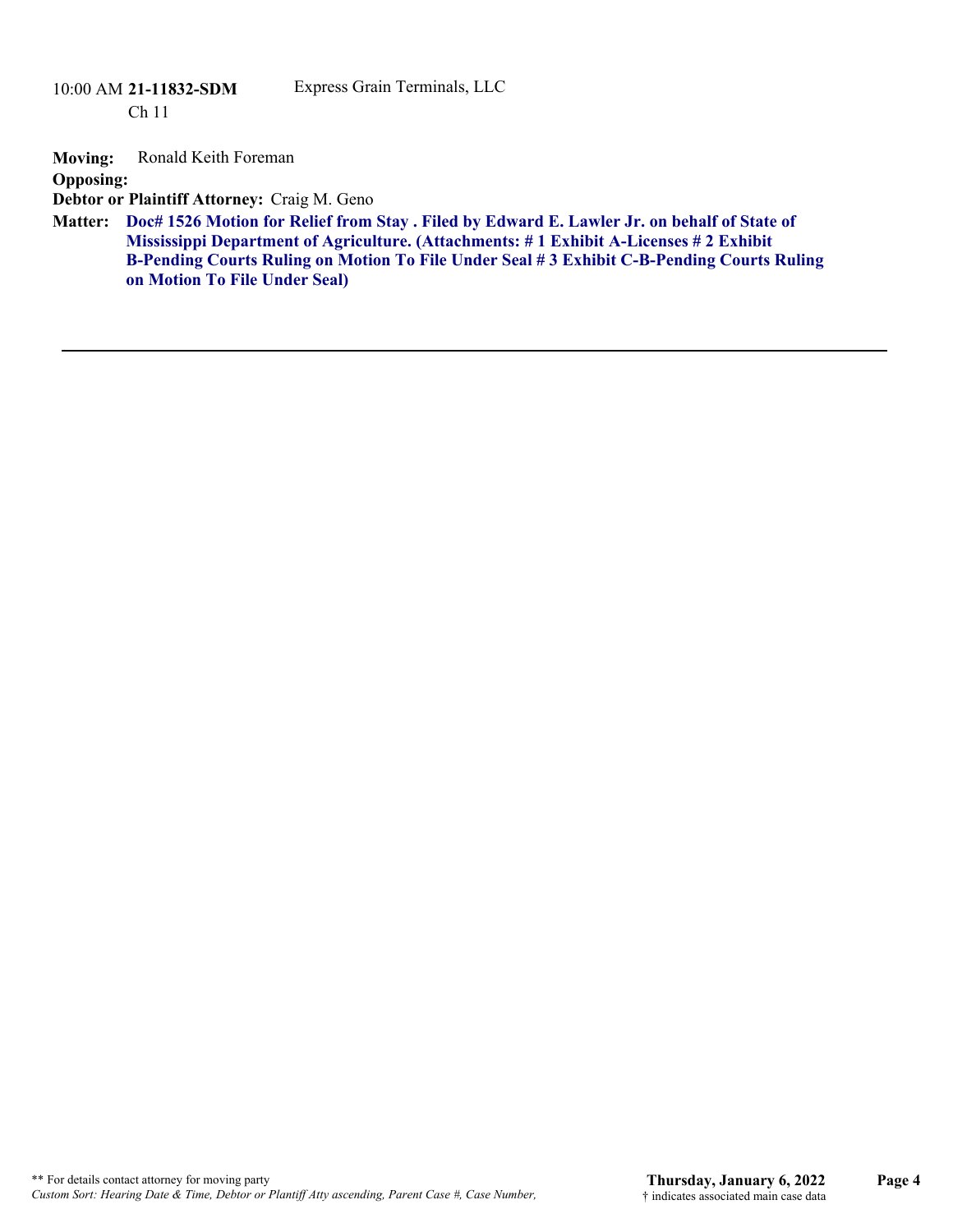Ch 11

#### Express Grain Terminals, LLC

**Moving:** Ronald Keith Foreman

**Opposing:**

**Debtor or Plaintiff Attorney:** Craig M. Geno

**Doc# 1526 Motion for Relief from Stay . Filed by Edward E. Lawler Jr. on behalf of State of Matter: Mississippi Department of Agriculture. (Attachments: # 1 Exhibit A-Licenses # 2 Exhibit B-Pending Courts Ruling on Motion To File Under Seal # 3 Exhibit C-B-Pending Courts Ruling on Motion To File Under Seal)**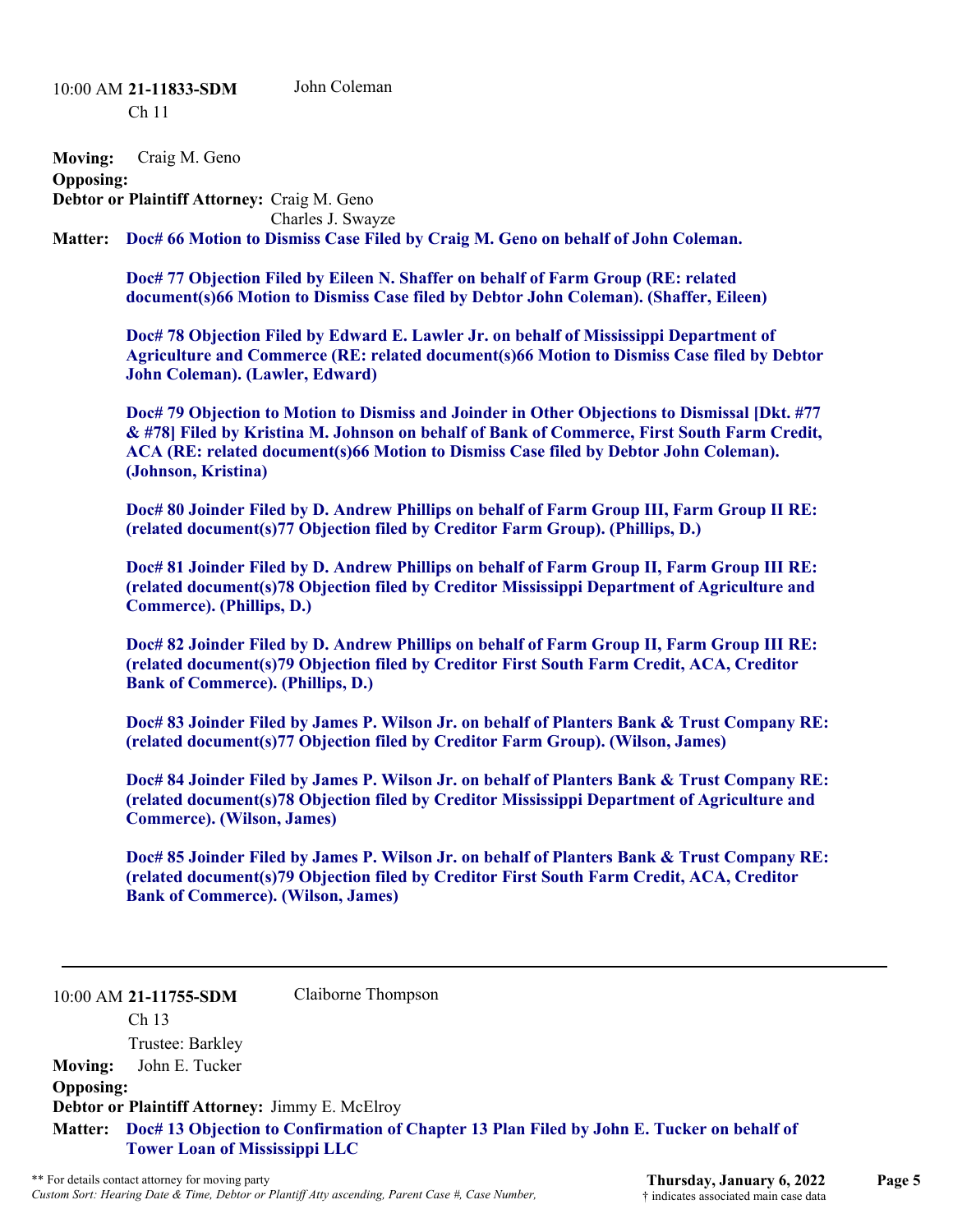10:00 AM **21-11833-SDM**  Ch 11 John Coleman

**Moving:** Craig M. Geno

**Opposing:**

**Debtor or Plaintiff Attorney:** Craig M. Geno Charles J. Swayze

Matter: Doc# 66 Motion to Dismiss Case Filed by Craig M. Geno on behalf of John Coleman.

**Doc# 77 Objection Filed by Eileen N. Shaffer on behalf of Farm Group (RE: related document(s)66 Motion to Dismiss Case filed by Debtor John Coleman). (Shaffer, Eileen)** 

**Doc# 78 Objection Filed by Edward E. Lawler Jr. on behalf of Mississippi Department of Agriculture and Commerce (RE: related document(s)66 Motion to Dismiss Case filed by Debtor John Coleman). (Lawler, Edward)** 

**Doc# 79 Objection to Motion to Dismiss and Joinder in Other Objections to Dismissal [Dkt. #77 & #78] Filed by Kristina M. Johnson on behalf of Bank of Commerce, First South Farm Credit, ACA (RE: related document(s)66 Motion to Dismiss Case filed by Debtor John Coleman). (Johnson, Kristina)**

**Doc# 80 Joinder Filed by D. Andrew Phillips on behalf of Farm Group III, Farm Group II RE: (related document(s)77 Objection filed by Creditor Farm Group). (Phillips, D.)** 

**Doc# 81 Joinder Filed by D. Andrew Phillips on behalf of Farm Group II, Farm Group III RE: (related document(s)78 Objection filed by Creditor Mississippi Department of Agriculture and Commerce). (Phillips, D.)**

**Doc# 82 Joinder Filed by D. Andrew Phillips on behalf of Farm Group II, Farm Group III RE: (related document(s)79 Objection filed by Creditor First South Farm Credit, ACA, Creditor Bank of Commerce). (Phillips, D.)**

**Doc# 83 Joinder Filed by James P. Wilson Jr. on behalf of Planters Bank & Trust Company RE: (related document(s)77 Objection filed by Creditor Farm Group). (Wilson, James)** 

**Doc# 84 Joinder Filed by James P. Wilson Jr. on behalf of Planters Bank & Trust Company RE: (related document(s)78 Objection filed by Creditor Mississippi Department of Agriculture and Commerce). (Wilson, James)**

**Doc# 85 Joinder Filed by James P. Wilson Jr. on behalf of Planters Bank & Trust Company RE: (related document(s)79 Objection filed by Creditor First South Farm Credit, ACA, Creditor Bank of Commerce). (Wilson, James)**

### 10:00 AM **21-11755-SDM**

Ch 13

Claiborne Thompson

Trustee: Barkley **Moving:** John E. Tucker **Opposing: Debtor or Plaintiff Attorney:** Jimmy E. McElroy **Doc# 13 Objection to Confirmation of Chapter 13 Plan Filed by John E. Tucker on behalf of Matter: Tower Loan of Mississippi LLC**